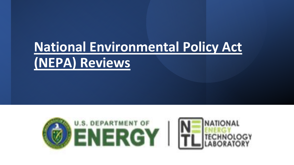# **National Environmental Policy Act (NEPA) Reviews**

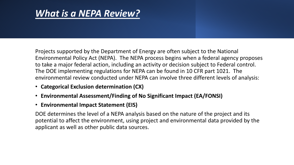#### *What is a NEPA Review?*

Projects supported by the Department of Energy are often subject to the National Environmental Policy Act (NEPA). The NEPA process begins when a federal agency proposes to take a major federal action, including an activity or decision subject to Federal control. The DOE implementing regulations for NEPA can be found in 10 CFR part 1021. The environmental review conducted under NEPA can involve three different levels of analysis:

- **Categorical Exclusion determination (CX)**
- **Environmental Assessment/Finding of No Significant Impact (EA/FONSI)**
- **Environmental Impact Statement (EIS)**

DOE determines the level of a NEPA analysis based on the nature of the project and its potential to affect the environment, using project and environmental data provided by the applicant as well as other public data sources.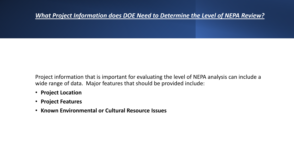#### *What Project Information does DOE Need to Determine the Level of NEPA Review?*

Project information that is important for evaluating the level of NEPA analysis can include a wide range of data. Major features that should be provided include:

- **Project Location**
- **Project Features**
- **Known Environmental or Cultural Resource Issues**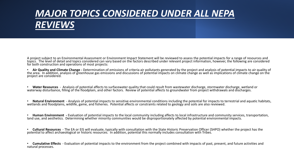### *MAJOR TOPICS CONSIDERED UNDER ALL NEPA REVIEWS*

A project subject to an Environmental Assessment or Environment Impact Statement will be reviewed to assess the potential impacts for a range of resources and<br>topics. The level of detail and topics considered can vary base

• **Air Quality and Climate Change -** Determination of emissions of criteria air pollutants generated by the project and analysis of potential impacts to air quality of the area. In addition, analysis of greenhouse gas emissions and discussions of potential impacts on climate change as well as implications of climate change on the project are considered.

• Water Resources - Analysis of potential affects to surfacewater quality that could result from wastewater discharge, stormwater discharge, wetland or waterway disturbance, filling of the floodplain, and other factors. Re

• Natural Environment - Analysis of potential impacts to sensitive environmental conditions including the potential for impacts to terrestrial and aquatic habitats, wetlands and floodplains, wildlife, game, and fisheries.

• **Human Environment -** Evaluation of potential impacts to the local community including affects to local infrastructure and community services, transportation, land use, and aesthetics. Determining whether minority communities would be disproportionately affected by potential environmental impacts.

• Cultural Resources - The EA or EIS will evaluate, typically with consultation with the State Historic Preservation Officer (SHPO) whether the project has the potential to affect archaeological or historic resources. In a

• **Cumulative Effects** - Evaluation of potential impacts to the environment from the project combined with impacts of past, present, and future activities and natural processes.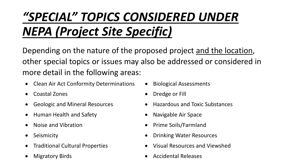# *"SPECIAL" TOPICS CONSIDERED UNDER NEPA (Project Site Specific)*

Depending on the nature of the proposed project and the location, other special topics or issues may also be addressed or considered in more detail in the following areas:

- Clean Air Act Conformity Determinations Biological Assessments
- Coastal Zones Dredge or Fill
- 
- Human Health and Safety  **Navigable Air Space**
- 
- 
- 
- 
- 
- 
- Geologic and Mineral Resources Hazardous and Toxic Substances
	-
- Noise and Vibration **•** Prime Soils/Farmland
- Seismicity  **Seismicity Seismicity Seismicity Drinking Water Resources** 
	- Traditional Cultural Properties Visual Resources and Viewshed
	- **Migratory Birds Accidental Releases**